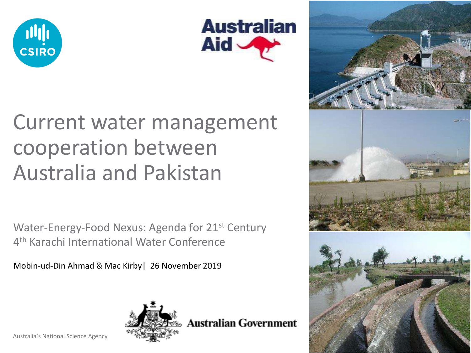



### Current water management cooperation between Australia and Pakistan

Water-Energy-Food Nexus: Agenda for 21<sup>st</sup> Century 4<sup>th</sup> Karachi International Water Conference

Mobin-ud-Din Ahmad & Mac Kirby| 26 November 2019



**Australian Government** 

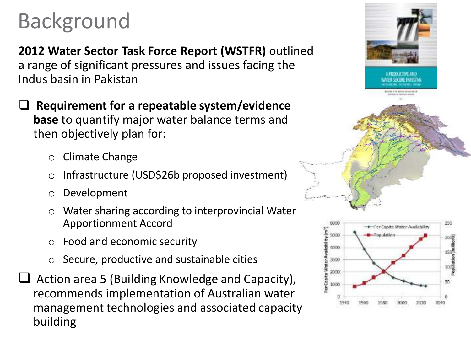## Background

**2012 Water Sector Task Force Report (WSTFR)** outlined a range of significant pressures and issues facing the Indus basin in Pakistan

❑ **Requirement for a repeatable system/evidence base** to quantify major water balance terms and then objectively plan for:

- o Climate Change
- o Infrastructure (USD\$26b proposed investment)
- o Development
- Water sharing according to interprovincial Water Apportionment Accord
- o Food and economic security
- Secure, productive and sustainable cities
- $\Box$  Action area 5 (Building Knowledge and Capacity), recommends implementation of Australian water management technologies and associated capacity building



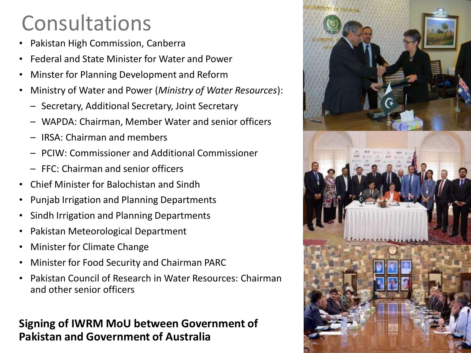### Consultations

- Pakistan High Commission, Canberra
- Federal and State Minister for Water and Power
- Minster for Planning Development and Reform
- Ministry of Water and Power (*Ministry of Water Resources*):
	- Secretary, Additional Secretary, Joint Secretary
	- WAPDA: Chairman, Member Water and senior officers
	- IRSA: Chairman and members
	- PCIW: Commissioner and Additional Commissioner
	- FFC: Chairman and senior officers
- Chief Minister for Balochistan and Sindh
- Punjab Irrigation and Planning Departments
- Sindh Irrigation and Planning Departments
- Pakistan Meteorological Department
- Minister for Climate Change
- Minister for Food Security and Chairman PARC
- Pakistan Council of Research in Water Resources: Chairman and other senior officers

#### **Signing of IWRM MoU between Government of Pakistan and Government of Australia**

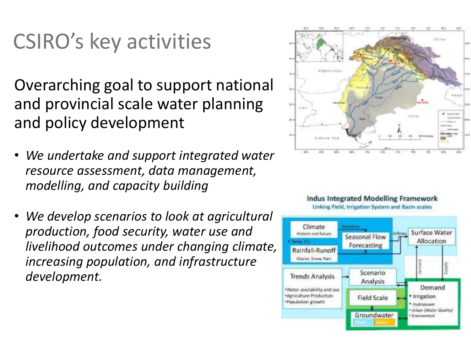### CSIRO's key activities

Overarching goal to support national and provincial scale water planning and policy development

- *We undertake and support integrated water resource assessment, data management, modelling, and capacity building*
- *We develop scenarios to look at agricultural production, food security, water use and livelihood outcomes under changing climate, increasing population, and infrastructure development.*





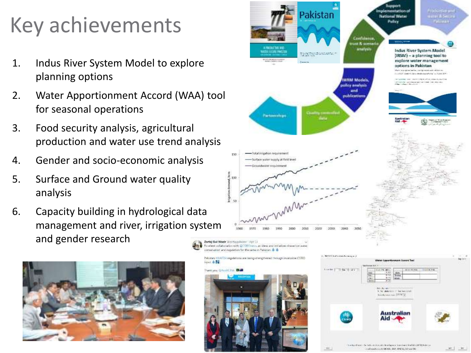# Key achievements

- 1. Indus River System Model to explore planning options
- 2. Water Apportionment Accord (WAA) tool for seasonal operations
- 3. Food security analysis, agricultural production and water use trend analysis
- 4. Gender and socio-economic analysis
- 5. Surface and Ground water quality analysis
- 6. Capacity building in hydrological data management and river, irrigation system and gender research

inout & Fa



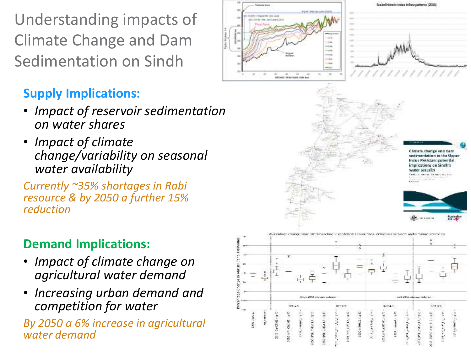Understanding impacts of Climate Change and Dam Sedimentation on Sindh

### **Supply Implications:**

- *Impact of reservoir sedimentation on water shares*
- *Impact of climate change/variability on seasonal water availability*

*Currently ~35% shortages in Rabi resource & by 2050 a further 15% reduction*

#### **Demand Implications:**

- *Impact of climate change on agricultural water demand*
- *Increasing urban demand and competition for water*

*By 2050 a 6% increase in agricultural water demand*

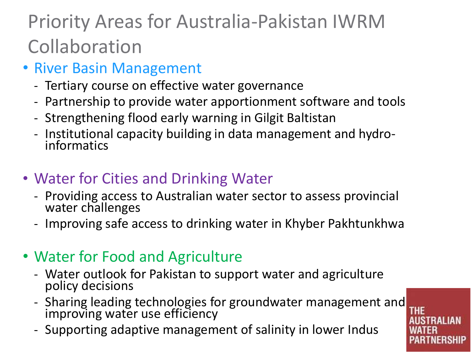### Priority Areas for Australia-Pakistan IWRM Collaboration

- River Basin Management
	- Tertiary course on effective water governance
	- Partnership to provide water apportionment software and tools
	- Strengthening flood early warning in Gilgit Baltistan
	- Institutional capacity building in data management and hydroinformatics
- Water for Cities and Drinking Water
	- Providing access to Australian water sector to assess provincial water challenges
	- Improving safe access to drinking water in Khyber Pakhtunkhwa
- Water for Food and Agriculture
	- Water outlook for Pakistan to support water and agriculture policy decisions
	- Sharing leading technologies for groundwater management and improving water use efficiency
	- Supporting adaptive management of salinity in lower Indus

**THE**